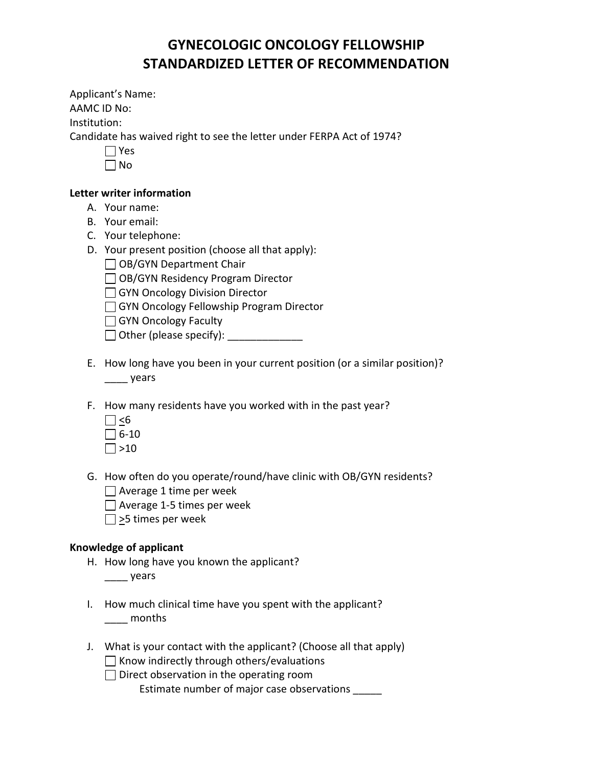## **GYNECOLOGIC ONCOLOGY FELLOWSHIP STANDARDIZED LETTER OF RECOMMENDATION**

Applicant's Name: AAMC ID No:

Institution:

Candidate has waived right to see the letter under FERPA Act of 1974?

- $\Box$  Yes
- $\Box$  No

#### **Letter writer information**

- A. Your name:
- B. Your email:
- C. Your telephone:
- D. Your present position (choose all that apply):
	- □ OB/GYN Department Chair

□ OB/GYN Residency Program Director

GYN Oncology Division Director

GYN Oncology Fellowship Program Director

GYN Oncology Faculty

 $\Box$  Other (please specify):

- E. How long have you been in your current position (or a similar position)? \_\_\_\_ years
- F. How many residents have you worked with in the past year?
	- $\Box \leq 6$  $\Box$  6-10  $\Box$ >10
		-

G. How often do you operate/round/have clinic with OB/GYN residents?

 $\Box$  Average 1 time per week

 $\Box$  Average 1-5 times per week

 $\Box$   $\geq$ 5 times per week

#### **Knowledge of applicant**

H. How long have you known the applicant?

\_\_\_\_ years

- I. How much clinical time have you spent with the applicant? \_\_\_\_ months
- J. What is your contact with the applicant? (Choose all that apply)

 $\Box$  Know indirectly through others/evaluations

 $\Box$  Direct observation in the operating room

Estimate number of major case observations \_\_\_\_\_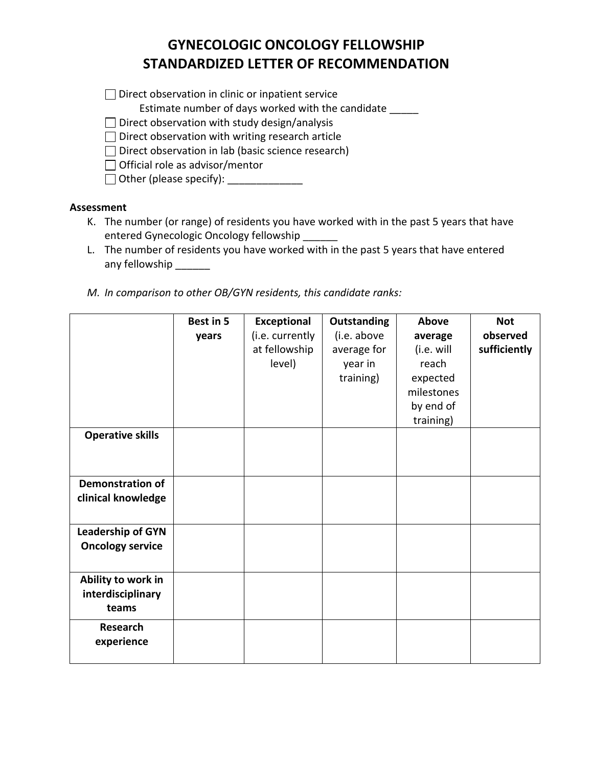# **GYNECOLOGIC ONCOLOGY FELLOWSHIP STANDARDIZED LETTER OF RECOMMENDATION**

 $\Box$  Direct observation in clinic or inpatient service Estimate number of days worked with the candidate \_\_\_\_\_  $\Box$  Direct observation with study design/analysis  $\Box$  Direct observation with writing research article  $\Box$  Direct observation in lab (basic science research)  $\Box$  Official role as advisor/mentor □ Other (please specify): \_\_\_\_\_\_\_\_\_\_\_\_\_\_

#### **Assessment**

- K. The number (or range) of residents you have worked with in the past 5 years that have entered Gynecologic Oncology fellowship \_\_\_\_\_\_
- L. The number of residents you have worked with in the past 5 years that have entered any fellowship
- *M. In comparison to other OB/GYN residents, this candidate ranks:*

|                          | <b>Best in 5</b> | <b>Exceptional</b> | Outstanding | Above      | <b>Not</b>   |
|--------------------------|------------------|--------------------|-------------|------------|--------------|
|                          | years            | (i.e. currently    | (i.e. above | average    | observed     |
|                          |                  | at fellowship      | average for | (i.e. will | sufficiently |
|                          |                  | level)             | year in     | reach      |              |
|                          |                  |                    | training)   | expected   |              |
|                          |                  |                    |             | milestones |              |
|                          |                  |                    |             | by end of  |              |
|                          |                  |                    |             | training)  |              |
| <b>Operative skills</b>  |                  |                    |             |            |              |
|                          |                  |                    |             |            |              |
|                          |                  |                    |             |            |              |
| <b>Demonstration of</b>  |                  |                    |             |            |              |
| clinical knowledge       |                  |                    |             |            |              |
|                          |                  |                    |             |            |              |
| <b>Leadership of GYN</b> |                  |                    |             |            |              |
| <b>Oncology service</b>  |                  |                    |             |            |              |
|                          |                  |                    |             |            |              |
| Ability to work in       |                  |                    |             |            |              |
| interdisciplinary        |                  |                    |             |            |              |
| teams                    |                  |                    |             |            |              |
| <b>Research</b>          |                  |                    |             |            |              |
| experience               |                  |                    |             |            |              |
|                          |                  |                    |             |            |              |